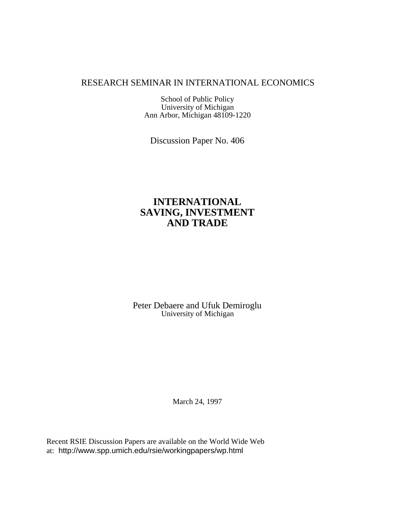# RESEARCH SEMINAR IN INTERNATIONAL ECONOMICS

School of Public Policy University of Michigan Ann Arbor, Michigan 48109-1220

Discussion Paper No. 406

# **INTERNATIONAL SAVING, INVESTMENT AND TRADE**

Peter Debaere and Ufuk Demiroglu University of Michigan

March 24, 1997

Recent RSIE Discussion Papers are available on the World Wide Web at: http://www.spp.umich.edu/rsie/workingpapers/wp.html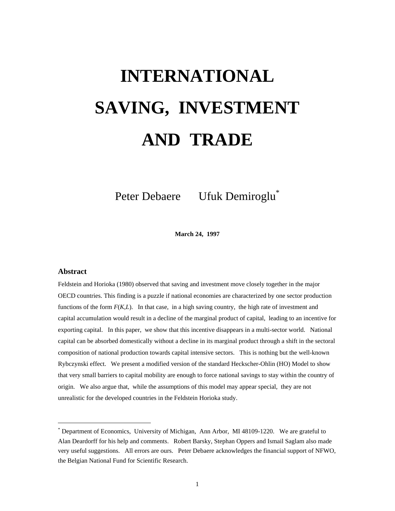# **INTERNATIONAL SAVING, INVESTMENT AND TRADE**

Peter Debaere Ufuk Demiroglu<sup>\*</sup>

**March 24, 1997**

#### **Abstract**

-

Feldstein and Horioka (1980) observed that saving and investment move closely together in the major OECD countries. This finding is a puzzle if national economies are characterized by one sector production functions of the form *F*(*K*,*L*). In that case, in a high saving country, the high rate of investment and capital accumulation would result in a decline of the marginal product of capital, leading to an incentive for exporting capital. In this paper, we show that this incentive disappears in a multi-sector world. National capital can be absorbed domestically without a decline in its marginal product through a shift in the sectoral composition of national production towards capital intensive sectors. This is nothing but the well-known Rybczynski effect. We present a modified version of the standard Heckscher-Ohlin (HO) Model to show that very small barriers to capital mobility are enough to force national savings to stay within the country of origin. We also argue that, while the assumptions of this model may appear special, they are not unrealistic for the developed countries in the Feldstein Horioka study.

<sup>\*</sup> Department of Economics, University of Michigan, Ann Arbor, MI 48109-1220. We are grateful to Alan Deardorff for his help and comments. Robert Barsky, Stephan Oppers and Ismail Saglam also made very useful suggestions. All errors are ours. Peter Debaere acknowledges the financial support of NFWO, the Belgian National Fund for Scientific Research.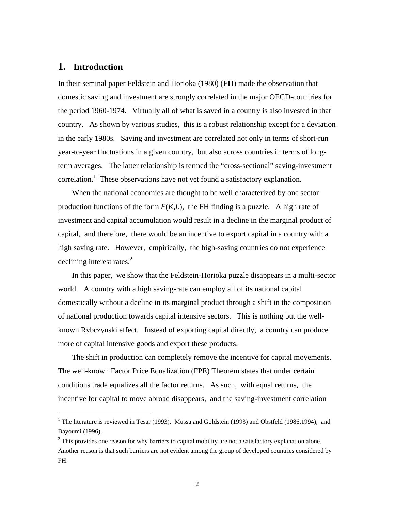# **1. Introduction**

-

In their seminal paper Feldstein and Horioka (1980) (**FH**) made the observation that domestic saving and investment are strongly correlated in the major OECD-countries for the period 1960-1974. Virtually all of what is saved in a country is also invested in that country. As shown by various studies, this is a robust relationship except for a deviation in the early 1980s. Saving and investment are correlated not only in terms of short-run year-to-year fluctuations in a given country, but also across countries in terms of longterm averages. The latter relationship is termed the "cross-sectional" saving-investment correlation.<sup>1</sup> These observations have not yet found a satisfactory explanation.

When the national economies are thought to be well characterized by one sector production functions of the form  $F(K,L)$ , the FH finding is a puzzle. A high rate of investment and capital accumulation would result in a decline in the marginal product of capital, and therefore, there would be an incentive to export capital in a country with a high saving rate. However, empirically, the high-saving countries do not experience declining interest rates. $2$ 

In this paper, we show that the Feldstein-Horioka puzzle disappears in a multi-sector world. A country with a high saving-rate can employ all of its national capital domestically without a decline in its marginal product through a shift in the composition of national production towards capital intensive sectors. This is nothing but the wellknown Rybczynski effect. Instead of exporting capital directly, a country can produce more of capital intensive goods and export these products.

The shift in production can completely remove the incentive for capital movements. The well-known Factor Price Equalization (FPE) Theorem states that under certain conditions trade equalizes all the factor returns. As such, with equal returns, the incentive for capital to move abroad disappears, and the saving-investment correlation

<sup>&</sup>lt;sup>1</sup> The literature is reviewed in Tesar (1993), Mussa and Goldstein (1993) and Obstfeld (1986,1994), and Bayoumi (1996).

 $2$  This provides one reason for why barriers to capital mobility are not a satisfactory explanation alone. Another reason is that such barriers are not evident among the group of developed countries considered by FH.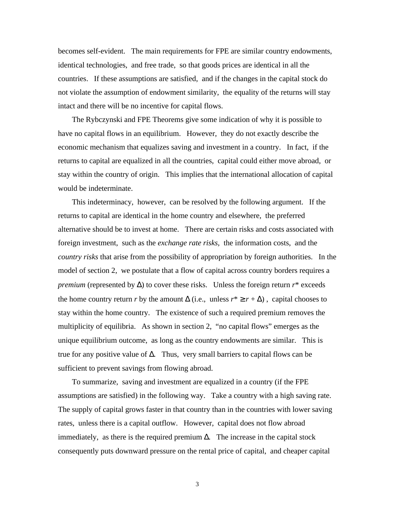becomes self-evident. The main requirements for FPE are similar country endowments, identical technologies, and free trade, so that goods prices are identical in all the countries. If these assumptions are satisfied, and if the changes in the capital stock do not violate the assumption of endowment similarity, the equality of the returns will stay intact and there will be no incentive for capital flows.

The Rybczynski and FPE Theorems give some indication of why it is possible to have no capital flows in an equilibrium. However, they do not exactly describe the economic mechanism that equalizes saving and investment in a country. In fact, if the returns to capital are equalized in all the countries, capital could either move abroad, or stay within the country of origin. This implies that the international allocation of capital would be indeterminate.

This indeterminacy, however, can be resolved by the following argument. If the returns to capital are identical in the home country and elsewhere, the preferred alternative should be to invest at home. There are certain risks and costs associated with foreign investment, such as the *exchange rate risks,* the information costs, and the *country risks* that arise from the possibility of appropriation by foreign authorities. In the model of section 2, we postulate that a flow of capital across country borders requires a *premium* (represented by  $\Delta$ ) to cover these risks. Unless the foreign return *r*<sup>\*</sup> exceeds the home country return *r* by the amount  $\Delta$  (i.e., unless  $r^* \ge r + \Delta$ ), capital chooses to stay within the home country. The existence of such a required premium removes the multiplicity of equilibria. As shown in section 2, "no capital flows" emerges as the unique equilibrium outcome, as long as the country endowments are similar. This is true for any positive value of  $\Delta$ . Thus, very small barriers to capital flows can be sufficient to prevent savings from flowing abroad.

To summarize, saving and investment are equalized in a country (if the FPE assumptions are satisfied) in the following way. Take a country with a high saving rate. The supply of capital grows faster in that country than in the countries with lower saving rates, unless there is a capital outflow. However, capital does not flow abroad immediately, as there is the required premium ∆. The increase in the capital stock consequently puts downward pressure on the rental price of capital, and cheaper capital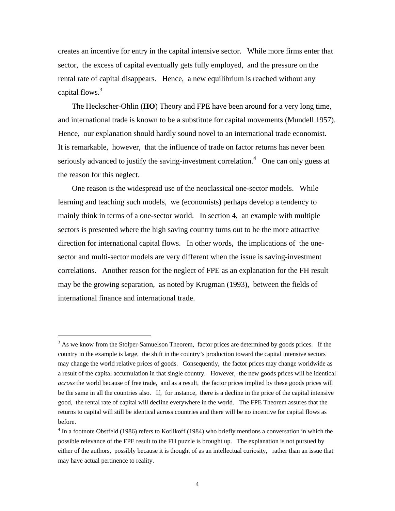creates an incentive for entry in the capital intensive sector. While more firms enter that sector, the excess of capital eventually gets fully employed, and the pressure on the rental rate of capital disappears. Hence, a new equilibrium is reached without any capital flows.<sup>3</sup>

The Heckscher-Ohlin (**HO**) Theory and FPE have been around for a very long time, and international trade is known to be a substitute for capital movements (Mundell 1957). Hence, our explanation should hardly sound novel to an international trade economist. It is remarkable, however, that the influence of trade on factor returns has never been seriously advanced to justify the saving-investment correlation.<sup>4</sup> One can only guess at the reason for this neglect.

One reason is the widespread use of the neoclassical one-sector models. While learning and teaching such models, we (economists) perhaps develop a tendency to mainly think in terms of a one-sector world. In section 4, an example with multiple sectors is presented where the high saving country turns out to be the more attractive direction for international capital flows. In other words, the implications of the onesector and multi-sector models are very different when the issue is saving-investment correlations. Another reason for the neglect of FPE as an explanation for the FH result may be the growing separation, as noted by Krugman (1993), between the fields of international finance and international trade.

 $3$  As we know from the Stolper-Samuelson Theorem, factor prices are determined by goods prices. If the country in the example is large, the shift in the country's production toward the capital intensive sectors may change the world relative prices of goods. Consequently, the factor prices may change worldwide as a result of the capital accumulation in that single country. However, the new goods prices will be identical *across* the world because of free trade, and as a result, the factor prices implied by these goods prices will be the same in all the countries also. If, for instance, there is a decline in the price of the capital intensive good, the rental rate of capital will decline everywhere in the world. The FPE Theorem assures that the returns to capital will still be identical across countries and there will be no incentive for capital flows as before.

<sup>&</sup>lt;sup>4</sup> In a footnote Obstfeld (1986) refers to Kotlikoff (1984) who briefly mentions a conversation in which the possible relevance of the FPE result to the FH puzzle is brought up. The explanation is not pursued by either of the authors, possibly because it is thought of as an intellectual curiosity, rather than an issue that may have actual pertinence to reality.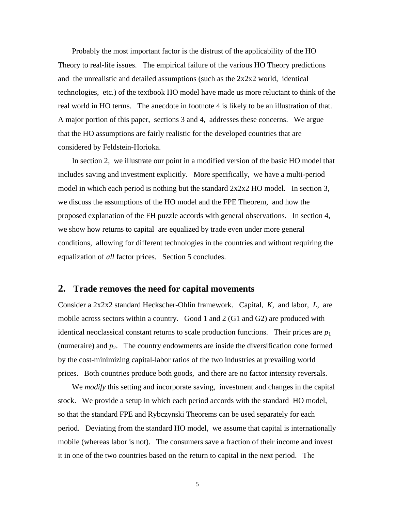Probably the most important factor is the distrust of the applicability of the HO Theory to real-life issues. The empirical failure of the various HO Theory predictions and the unrealistic and detailed assumptions (such as the 2x2x2 world, identical technologies, etc.) of the textbook HO model have made us more reluctant to think of the real world in HO terms. The anecdote in footnote 4 is likely to be an illustration of that. A major portion of this paper, sections 3 and 4, addresses these concerns. We argue that the HO assumptions are fairly realistic for the developed countries that are considered by Feldstein-Horioka.

In section 2, we illustrate our point in a modified version of the basic HO model that includes saving and investment explicitly. More specifically, we have a multi-period model in which each period is nothing but the standard 2x2x2 HO model. In section 3, we discuss the assumptions of the HO model and the FPE Theorem, and how the proposed explanation of the FH puzzle accords with general observations. In section 4, we show how returns to capital are equalized by trade even under more general conditions, allowing for different technologies in the countries and without requiring the equalization of *all* factor prices. Section 5 concludes.

## **2. Trade removes the need for capital movements**

Consider a 2x2x2 standard Heckscher-Ohlin framework. Capital, *K*, and labor, *L*, are mobile across sectors within a country. Good 1 and 2 (G1 and G2) are produced with identical neoclassical constant returns to scale production functions. Their prices are  $p_1$ (numeraire) and  $p_2$ . The country endowments are inside the diversification cone formed by the cost-minimizing capital-labor ratios of the two industries at prevailing world prices. Both countries produce both goods, and there are no factor intensity reversals.

We *modify* this setting and incorporate saving, investment and changes in the capital stock. We provide a setup in which each period accords with the standard HO model, so that the standard FPE and Rybczynski Theorems can be used separately for each period. Deviating from the standard HO model, we assume that capital is internationally mobile (whereas labor is not). The consumers save a fraction of their income and invest it in one of the two countries based on the return to capital in the next period. The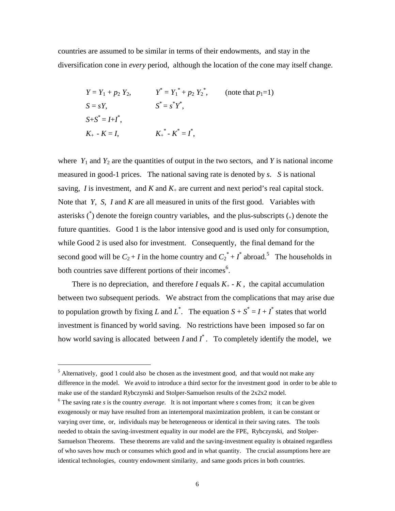countries are assumed to be similar in terms of their endowments, and stay in the diversification cone in *every* period, although the location of the cone may itself change.

$$
Y = Y_1 + p_2 Y_2,
$$
  
\n
$$
Y^* = Y_1^* + p_2 Y_2^*,
$$
 (note that  $p_1 = 1$ )  
\n
$$
S = sY,
$$
  
\n
$$
S^* = s^*Y^*,
$$
  
\n
$$
S^* = s^*Y^*,
$$
  
\n
$$
K_+ - K = I,
$$
  
\n
$$
K_+^* - K^* = I^*,
$$

where  $Y_1$  and  $Y_2$  are the quantities of output in the two sectors, and  $Y$  is national income measured in good-1 prices. The national saving rate is denoted by *s*. *S* is national saving, *I* is investment, and *K* and  $K_{+}$  are current and next period's real capital stock. Note that *Y*, *S*, *I* and *K* are all measured in units of the first good. Variables with asterisks  $\binom{4}{1}$  denote the foreign country variables, and the plus-subscripts  $\binom{4}{1}$  denote the future quantities. Good 1 is the labor intensive good and is used only for consumption, while Good 2 is used also for investment. Consequently, the final demand for the second good will be  $C_2 + I$  in the home country and  $C_2^* + I^*$  abroad.<sup>5</sup> The households in both countries save different portions of their incomes<sup>6</sup>.

There is no depreciation, and therefore *I* equals  $K_{+}$  -  $K$ , the capital accumulation between two subsequent periods. We abstract from the complications that may arise due to population growth by fixing *L* and  $L^*$ . The equation  $S + S^* = I + I^*$  states that world investment is financed by world saving. No restrictions have been imposed so far on how world saving is allocated between  $I$  and  $I^*$ . To completely identify the model, we

<sup>&</sup>lt;sup>5</sup> Alternatively, good 1 could also be chosen as the investment good, and that would not make any difference in the model. We avoid to introduce a third sector for the investment good in order to be able to make use of the standard Rybczynski and Stolper-Samuelson results of the 2x2x2 model.

<sup>&</sup>lt;sup>6</sup> The saving rate *s* is the country *average*. It is not important where *s* comes from; it can be given exogenously or may have resulted from an intertemporal maximization problem, it can be constant or varying over time, or, individuals may be heterogeneous or identical in their saving rates. The tools needed to obtain the saving-investment equality in our model are the FPE, Rybczynski, and Stolper-Samuelson Theorems. These theorems are valid and the saving-investment equality is obtained regardless of who saves how much or consumes which good and in what quantity. The crucial assumptions here are identical technologies, country endowment similarity, and same goods prices in both countries.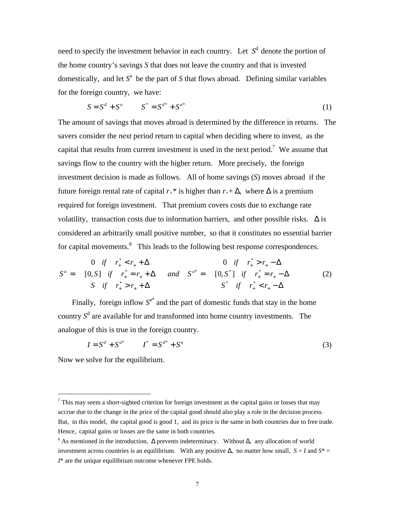need to specify the investment behavior in each country. Let  $S<sup>d</sup>$  denote the portion of the home country's savings *S* that does not leave the country and that is invested domestically, and let  $S^a$  be the part of  $S$  that flows abroad. Defining similar variables for the foreign country, we have:

$$
S = S^d + S^a \t S^* = S^{d^*} + S^{a^*}
$$
 (1)

The amount of savings that moves abroad is determined by the difference in returns. The savers consider the *next* period return to capital when deciding where to invest, as the capital that results from current investment is used in the next period.<sup>7</sup> We assume that savings flow to the country with the higher return. More precisely, the foreign investment decision is made as follows. All of home savings (*S*) moves abroad if the future foreign rental rate of capital  $r_{+}$ <sup>\*</sup> is higher than  $r_{+}+\Delta$ , where  $\Delta$  is a premium required for foreign investment. That premium covers costs due to exchange rate volatility, transaction costs due to information barriers, and other possible risks.  $\Delta$  is considered an arbitrarily small positive number, so that it constitutes no essential barrier for capital movements.<sup>8</sup> This leads to the following best response correspondences.

$$
S^{a} = \begin{cases} 0 & \text{if} & r_{+}^{*} < r_{+} + \Delta \\ [0, S] & \text{if} & r_{+}^{*} = r_{+} + \Delta \\ S & \text{if} & r_{+}^{*} > r_{+} + \Delta \end{cases} \quad \text{and} \quad S^{a^{*}} = \begin{cases} 0 & \text{if} & r_{+}^{*} > r_{+} - \Delta \\ [0, S^{*}] & \text{if} & r_{+}^{*} = r_{+} - \Delta \\ S^{*} & \text{if} & r_{+}^{*} < r_{+} - \Delta \end{cases} \tag{2}
$$

Finally, foreign inflow  $S^{a^*}$  and the part of domestic funds that stay in the home country  $S^d$  are available for and transformed into home country investments. The analogue of this is true in the foreign country.

$$
I = S^d + S^{a^*} \qquad I^* = S^{d^*} + S^a \tag{3}
$$

Now we solve for the equilibrium.

 $<sup>7</sup>$  This may seem a short-sighted criterion for foreign investment as the capital gains or losses that may</sup> accrue due to the change in the price of the capital good should also play a role in the decision process. But, in this model, the capital good is good 1, and its price is the same in both countries due to free trade. Hence, capital gains or losses are the same in both countries.

<sup>8</sup> As mentioned in the introduction, ∆ prevents indeterminacy. Without ∆, any allocation of world investment across countries is an equilibrium. With any positive  $\Delta$ , no matter how small, *S* = *I* and *S*<sup>\*</sup> = *I*\* are the unique equilibrium outcome whenever FPE holds.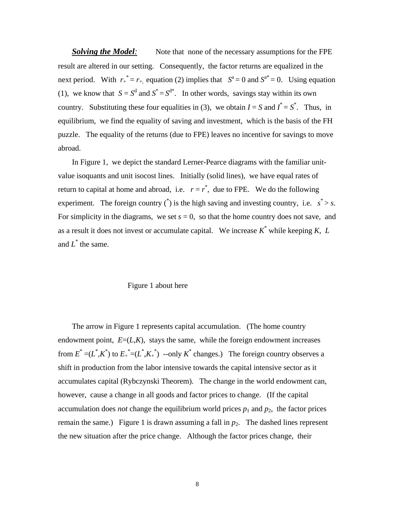*Solving the Model*: Note that none of the necessary assumptions for the FPE result are altered in our setting. Consequently, the factor returns are equalized in the next period. With  $r_+^* = r_+$ , equation (2) implies that  $S^a = 0$  and  $S^{a^*} = 0$ . Using equation (1), we know that  $S = S^d$  and  $S^* = S^{d*}$ . In other words, savings stay within its own country. Substituting these four equalities in (3), we obtain  $I = S$  and  $I^* = S^*$ . Thus, in equilibrium, we find the equality of saving and investment, which is the basis of the FH puzzle. The equality of the returns (due to FPE) leaves no incentive for savings to move abroad.

In Figure 1, we depict the standard Lerner-Pearce diagrams with the familiar unitvalue isoquants and unit isocost lines. Initially (solid lines), we have equal rates of return to capital at home and abroad, i.e.  $r = r^*$ , due to FPE. We do the following experiment. The foreign country  $\binom{4}{1}$  is the high saving and investing country, i.e.  $s^* > s$ . For simplicity in the diagrams, we set  $s = 0$ , so that the home country does not save, and as a result it does not invest or accumulate capital. We increase  $K^*$  while keeping  $K$ ,  $L$ and  $L^*$  the same.

### Figure 1 about here

The arrow in Figure 1 represents capital accumulation. (The home country endowment point,  $E=(L,K)$ , stays the same, while the foreign endowment increases from  $E^* = (L^*, K^*)$  to  $E^* = (L^*, K^*)$  --only  $K^*$  changes.) The foreign country observes a shift in production from the labor intensive towards the capital intensive sector as it accumulates capital (Rybczynski Theorem). The change in the world endowment can, however, cause a change in all goods and factor prices to change. (If the capital accumulation does *not* change the equilibrium world prices  $p_1$  and  $p_2$ , the factor prices remain the same.) Figure 1 is drawn assuming a fall in  $p_2$ . The dashed lines represent the new situation after the price change. Although the factor prices change, their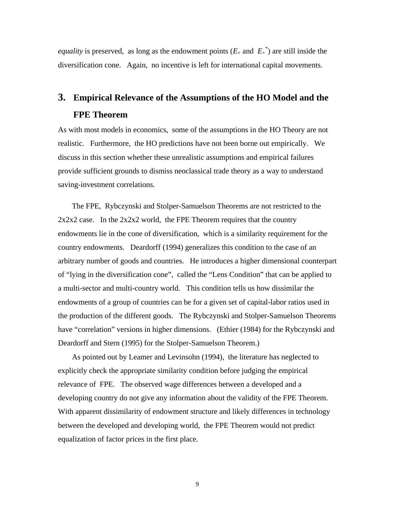*equality* is preserved, as long as the endowment points  $(E_+$  and  $E_+^*$ ) are still inside the diversification cone. Again, no incentive is left for international capital movements.

# **3. Empirical Relevance of the Assumptions of the HO Model and the FPE Theorem**

As with most models in economics, some of the assumptions in the HO Theory are not realistic. Furthermore, the HO predictions have not been borne out empirically. We discuss in this section whether these unrealistic assumptions and empirical failures provide sufficient grounds to dismiss neoclassical trade theory as a way to understand saving-investment correlations.

The FPE, Rybczynski and Stolper-Samuelson Theorems are not restricted to the  $2x2x2$  case. In the  $2x2x2$  world, the FPE Theorem requires that the country endowments lie in the cone of diversification, which is a similarity requirement for the country endowments. Deardorff (1994) generalizes this condition to the case of an arbitrary number of goods and countries. He introduces a higher dimensional counterpart of "lying in the diversification cone", called the "Lens Condition" that can be applied to a multi-sector and multi-country world. This condition tells us how dissimilar the endowments of a group of countries can be for a given set of capital-labor ratios used in the production of the different goods. The Rybczynski and Stolper-Samuelson Theorems have "correlation" versions in higher dimensions. (Ethier (1984) for the Rybczynski and Deardorff and Stern (1995) for the Stolper-Samuelson Theorem.)

As pointed out by Leamer and Levinsohn (1994), the literature has neglected to explicitly check the appropriate similarity condition before judging the empirical relevance of FPE. The observed wage differences between a developed and a developing country do not give any information about the validity of the FPE Theorem. With apparent dissimilarity of endowment structure and likely differences in technology between the developed and developing world, the FPE Theorem would not predict equalization of factor prices in the first place.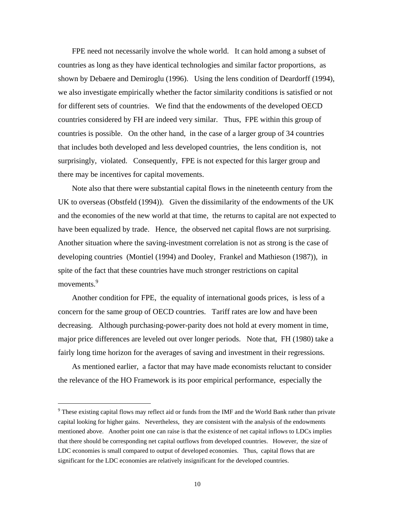FPE need not necessarily involve the whole world. It can hold among a subset of countries as long as they have identical technologies and similar factor proportions, as shown by Debaere and Demiroglu (1996). Using the lens condition of Deardorff (1994), we also investigate empirically whether the factor similarity conditions is satisfied or not for different sets of countries. We find that the endowments of the developed OECD countries considered by FH are indeed very similar. Thus, FPE within this group of countries is possible. On the other hand, in the case of a larger group of 34 countries that includes both developed and less developed countries, the lens condition is, not surprisingly, violated. Consequently, FPE is not expected for this larger group and there may be incentives for capital movements.

Note also that there were substantial capital flows in the nineteenth century from the UK to overseas (Obstfeld (1994)). Given the dissimilarity of the endowments of the UK and the economies of the new world at that time, the returns to capital are not expected to have been equalized by trade. Hence, the observed net capital flows are not surprising. Another situation where the saving-investment correlation is not as strong is the case of developing countries (Montiel (1994) and Dooley, Frankel and Mathieson (1987)), in spite of the fact that these countries have much stronger restrictions on capital movements.<sup>9</sup>

Another condition for FPE, the equality of international goods prices, is less of a concern for the same group of OECD countries. Tariff rates are low and have been decreasing. Although purchasing-power-parity does not hold at every moment in time, major price differences are leveled out over longer periods. Note that, FH (1980) take a fairly long time horizon for the averages of saving and investment in their regressions.

As mentioned earlier, a factor that may have made economists reluctant to consider the relevance of the HO Framework is its poor empirical performance, especially the

<sup>&</sup>lt;sup>9</sup> These existing capital flows may reflect aid or funds from the IMF and the World Bank rather than private capital looking for higher gains. Nevertheless, they are consistent with the analysis of the endowments mentioned above. Another point one can raise is that the existence of net capital inflows to LDCs implies that there should be corresponding net capital outflows from developed countries. However, the size of LDC economies is small compared to output of developed economies. Thus, capital flows that are significant for the LDC economies are relatively insignificant for the developed countries.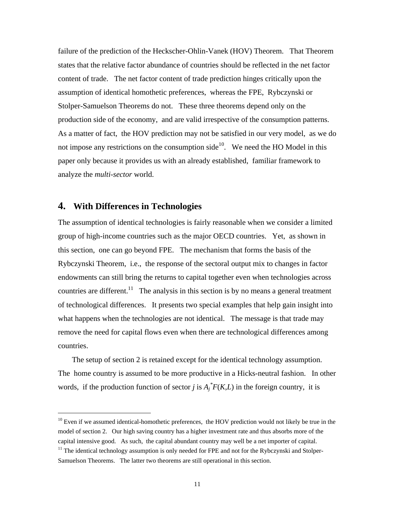failure of the prediction of the Heckscher-Ohlin-Vanek (HOV) Theorem. That Theorem states that the relative factor abundance of countries should be reflected in the net factor content of trade. The net factor content of trade prediction hinges critically upon the assumption of identical homothetic preferences, whereas the FPE, Rybczynski or Stolper-Samuelson Theorems do not. These three theorems depend only on the production side of the economy, and are valid irrespective of the consumption patterns. As a matter of fact, the HOV prediction may not be satisfied in our very model, as we do not impose any restrictions on the consumption side<sup>10</sup>. We need the HO Model in this paper only because it provides us with an already established, familiar framework to analyze the *multi-sector* world.

## **4. With Differences in Technologies**

-

The assumption of identical technologies is fairly reasonable when we consider a limited group of high-income countries such as the major OECD countries. Yet, as shown in this section, one can go beyond FPE. The mechanism that forms the basis of the Rybczynski Theorem, i.e., the response of the sectoral output mix to changes in factor endowments can still bring the returns to capital together even when technologies across countries are different.<sup>11</sup> The analysis in this section is by no means a general treatment of technological differences. It presents two special examples that help gain insight into what happens when the technologies are not identical. The message is that trade may remove the need for capital flows even when there are technological differences among countries.

The setup of section 2 is retained except for the identical technology assumption. The home country is assumed to be more productive in a Hicks-neutral fashion. In other words, if the production function of sector *j* is  $A_j^*F(K,L)$  in the foreign country, it is

 $10$  Even if we assumed identical-homothetic preferences, the HOV prediction would not likely be true in the model of section 2. Our high saving country has a higher investment rate and thus absorbs more of the capital intensive good. As such, the capital abundant country may well be a net importer of capital.

 $11$  The identical technology assumption is only needed for FPE and not for the Rybczynski and Stolper-Samuelson Theorems. The latter two theorems are still operational in this section.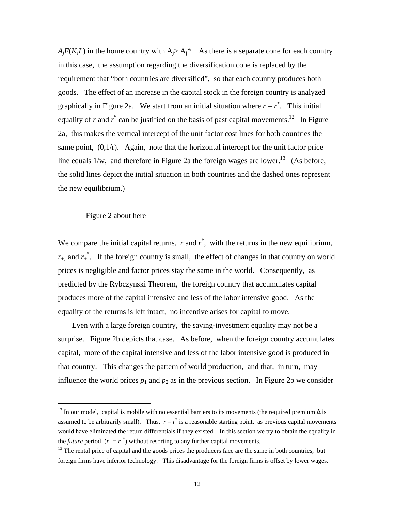$A_iF(K,L)$  in the home country with  $A_i > A_i^*$ . As there is a separate cone for each country in this case, the assumption regarding the diversification cone is replaced by the requirement that "both countries are diversified", so that each country produces both goods. The effect of an increase in the capital stock in the foreign country is analyzed graphically in Figure 2a. We start from an initial situation where  $r = r^*$ . This initial equality of  $r$  and  $r^*$  can be justified on the basis of past capital movements.<sup>12</sup> In Figure 2a, this makes the vertical intercept of the unit factor cost lines for both countries the same point,  $(0,1/r)$ . Again, note that the horizontal intercept for the unit factor price line equals  $1/w$ , and therefore in Figure 2a the foreign wages are lower.<sup>13</sup> (As before, the solid lines depict the initial situation in both countries and the dashed ones represent the new equilibrium.)

#### Figure 2 about here

-

We compare the initial capital returns,  $r$  and  $r^*$ , with the returns in the new equilibrium,  $r_{+}$ , and  $r_{+}^{*}$ . If the foreign country is small, the effect of changes in that country on world prices is negligible and factor prices stay the same in the world. Consequently, as predicted by the Rybczynski Theorem, the foreign country that accumulates capital produces more of the capital intensive and less of the labor intensive good. As the equality of the returns is left intact, no incentive arises for capital to move.

Even with a large foreign country, the saving-investment equality may not be a surprise. Figure 2b depicts that case. As before, when the foreign country accumulates capital, more of the capital intensive and less of the labor intensive good is produced in that country. This changes the pattern of world production, and that, in turn, may influence the world prices  $p_1$  and  $p_2$  as in the previous section. In Figure 2b we consider

<sup>&</sup>lt;sup>12</sup> In our model, capital is mobile with no essential barriers to its movements (the required premium  $\Delta$  is assumed to be arbitrarily small). Thus,  $r = r^*$  is a reasonable starting point, as previous capital movements would have eliminated the return differentials if they existed. In this section we try to obtain the equality in the *future* period  $(r_{+} = r_{+}^{*})$  without resorting to any further capital movements.

 $13$  The rental price of capital and the goods prices the producers face are the same in both countries, but foreign firms have inferior technology. This disadvantage for the foreign firms is offset by lower wages.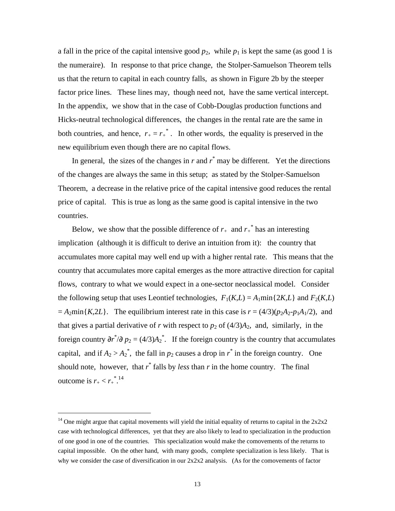a fall in the price of the capital intensive good  $p_2$ , while  $p_1$  is kept the same (as good 1 is the numeraire). In response to that price change, the Stolper-Samuelson Theorem tells us that the return to capital in each country falls, as shown in Figure 2b by the steeper factor price lines. These lines may, though need not, have the same vertical intercept. In the appendix, we show that in the case of Cobb-Douglas production functions and Hicks-neutral technological differences, the changes in the rental rate are the same in both countries, and hence,  $r_{+} = r_{+}^{*}$ . In other words, the equality is preserved in the new equilibrium even though there are no capital flows.

In general, the sizes of the changes in  $r$  and  $r^*$  may be different. Yet the directions of the changes are always the same in this setup; as stated by the Stolper-Samuelson Theorem, a decrease in the relative price of the capital intensive good reduces the rental price of capital. This is true as long as the same good is capital intensive in the two countries.

Below, we show that the possible difference of  $r_{+}$  and  $r_{+}^{*}$  has an interesting implication (although it is difficult to derive an intuition from it): the country that accumulates more capital may well end up with a higher rental rate. This means that the country that accumulates more capital emerges as the more attractive direction for capital flows, contrary to what we would expect in a one-sector neoclassical model. Consider the following setup that uses Leontief technologies,  $F_1(K,L) = A_1 \min\{2K,L\}$  and  $F_2(K,L)$  $= A_2$ min{*K*,2*L*}. The equilibrium interest rate in this case is  $r = (4/3)(p_2A_2 - p_1A_1/2)$ , and that gives a partial derivative of *r* with respect to  $p_2$  of  $(4/3)A_2$ , and, similarly, in the foreign country  $\partial r^* / \partial p_2 = (4/3) A_2^*$ . If the foreign country is the country that accumulates capital, and if  $A_2 > A_2^*$ , the fall in  $p_2$  causes a drop in  $r^*$  in the foreign country. One should note, however, that  $r^*$  falls by *less* than  $r$  in the home country. The final outcome is  $r_{+} < r_{+}^{*}$ .<sup>14</sup>

<sup>&</sup>lt;sup>14</sup> One might argue that capital movements will yield the initial equality of returns to capital in the  $2x2x2$ case with technological differences, yet that they are also likely to lead to specialization in the production of one good in one of the countries. This specialization would make the comovements of the returns to capital impossible. On the other hand, with many goods, complete specialization is less likely. That is why we consider the case of diversification in our  $2x2x2$  analysis. (As for the comovements of factor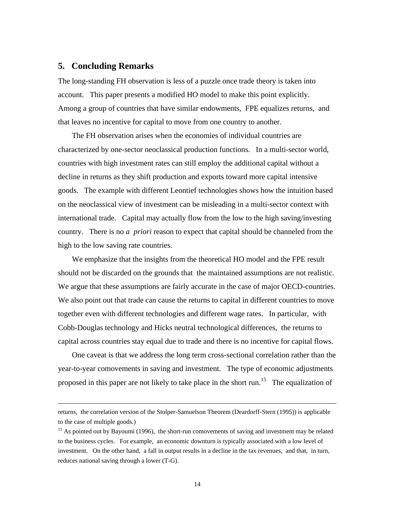## **5. Concluding Remarks**

-

The long-standing FH observation is less of a puzzle once trade theory is taken into account. This paper presents a modified HO model to make this point explicitly. Among a group of countries that have similar endowments, FPE equalizes returns, and that leaves no incentive for capital to move from one country to another.

The FH observation arises when the economies of individual countries are characterized by one-sector neoclassical production functions. In a multi-sector world, countries with high investment rates can still employ the additional capital without a decline in returns as they shift production and exports toward more capital intensive goods. The example with different Leontief technologies shows how the intuition based on the neoclassical view of investment can be misleading in a multi-sector context with international trade. Capital may actually flow from the low to the high saving/investing country. There is no *a priori* reason to expect that capital should be channeled from the high to the low saving rate countries.

We emphasize that the insights from the theoretical HO model and the FPE result should not be discarded on the grounds that the maintained assumptions are not realistic. We argue that these assumptions are fairly accurate in the case of major OECD-countries. We also point out that trade can cause the returns to capital in different countries to move together even with different technologies and different wage rates. In particular, with Cobb-Douglas technology and Hicks neutral technological differences, the returns to capital across countries stay equal due to trade and there is no incentive for capital flows.

One caveat is that we address the long term cross-sectional correlation rather than the year-to-year comovements in saving and investment. The type of economic adjustments proposed in this paper are not likely to take place in the short run.<sup>15</sup> The equalization of

returns, the correlation version of the Stolper-Samuelson Theorem (Deardorff-Stern (1995)) is applicable to the case of multiple goods.)

<sup>&</sup>lt;sup>15</sup> As pointed out by Bayoumi (1996), the short-run comovements of saving and investment may be related to the business cycles. For example, an economic downturn is typically associated with a low level of investment. On the other hand, a fall in output results in a decline in the tax revenues, and that, in turn, reduces national saving through a lower (T-G).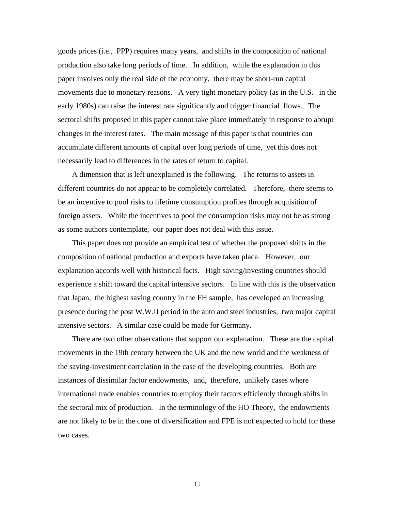goods prices (i.e., PPP) requires many years, and shifts in the composition of national production also take long periods of time. In addition, while the explanation in this paper involves only the real side of the economy, there may be short-run capital movements due to monetary reasons. A very tight monetary policy (as in the U.S. in the early 1980s) can raise the interest rate significantly and trigger financial flows. The sectoral shifts proposed in this paper cannot take place immediately in response to abrupt changes in the interest rates. The main message of this paper is that countries can accumulate different amounts of capital over long periods of time, yet this does not necessarily lead to differences in the rates of return to capital.

A dimension that is left unexplained is the following. The returns to assets in different countries do not appear to be completely correlated. Therefore, there seems to be an incentive to pool risks to lifetime consumption profiles through acquisition of foreign assets. While the incentives to pool the consumption risks may not be as strong as some authors contemplate, our paper does not deal with this issue.

This paper does not provide an empirical test of whether the proposed shifts in the composition of national production and exports have taken place. However, our explanation accords well with historical facts. High saving/investing countries should experience a shift toward the capital intensive sectors. In line with this is the observation that Japan, the highest saving country in the FH sample, has developed an increasing presence during the post W.W.II period in the auto and steel industries, two major capital intensive sectors. A similar case could be made for Germany.

There are two other observations that support our explanation. These are the capital movements in the 19th century between the UK and the new world and the weakness of the saving-investment correlation in the case of the developing countries. Both are instances of dissimilar factor endowments, and, therefore, unlikely cases where international trade enables countries to employ their factors efficiently through shifts in the sectoral mix of production. In the terminology of the HO Theory, the endowments are not likely to be in the cone of diversification and FPE is not expected to hold for these two cases.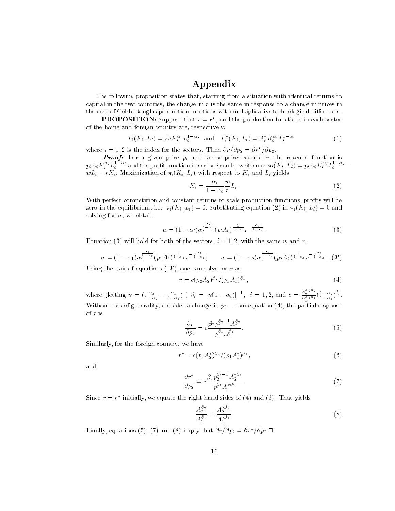## Appendix

The following proposition states that, starting from a situation with identical returns tocapital in the two countries, the change in r is the same in response to a change in prices in the case of Cobb-Douglas production functions with multiplicative technological differences.

**PROPOSITION:** Suppose that  $r \equiv r^-$  and the production functions in each sector of the home and foreign country are, respectively,

$$
F_i(K_i, L_i) = A_i K_i^{\alpha_i} L_i^{1-\alpha_i} \text{ and } F_i^*(K_i, L_i) = A_i^* K_i^{\alpha_i} L_i^{1-\alpha_i}
$$
 (1)

where  $i = 1, 2$  is the index for the sectors. Then  $\sigma r/\sigma p_2 = \sigma r/\sigma p_2$ .

**Proof:** For a given price  $p_i$  and factor prices w and r, the revenue function is  $p_iA_iK_i^{\top}L_i^{\top}$  and the profit function in sector  $\imath$  can be written as  $\pi_i(K_i,L_i)=p_iA_iK_i^{\top}L_i^{\top}$  . Then  $wL_i - rK_i$ . Maximization of  $\pi_i(K_i, L_i)$  with respect to  $K_i$  and  $L_i$  yields

$$
K_i = \frac{\alpha_i}{1 - \alpha_i} \frac{w}{r} L_i.
$$
\n<sup>(2)</sup>

With perfect competition and constant returns to scale production functions, profits will be zero in the equilibrium, i.e.,  $\pi_i(K_i, L_i) = 0$ . Substituting equation (2) in  $\pi_i(K_i, L_i) = 0$  and solving for  $w$  , we obtain

$$
w = (1 - \alpha_i) \alpha_i^{\frac{\alpha_i}{1 - \alpha_i}} (p_i A_i)^{\frac{1}{1 - \alpha_i}} r^{-\frac{\alpha_i}{1 - \alpha_i}}.
$$
\n
$$
(3)
$$

Equation (3) will hold for both of the sectors,  $i = 1, 2$ , with the same w and r.

$$
w = (1 - \alpha_1)\alpha_1^{\frac{\alpha_1}{1 - \alpha_1}}(p_1 A_1)^{\frac{1}{1 - \alpha_1}}r^{-\frac{\alpha_1}{1 - \alpha_1}}, \qquad w = (1 - \alpha_2)\alpha_2^{\frac{\alpha_2}{1 - \alpha_2}}(p_2 A_2)^{\frac{1}{1 - \alpha_2}}r^{-\frac{\alpha_2}{1 - \alpha_2}}.
$$
 (3')

Using the pair of equations (  $30\,$  ), one can solve for  $r$  as

$$
r = c(p_2 A_2)^{\beta_2} / (p_1 A_1)^{\beta_1}, \tag{4}
$$

where (letting  $\gamma = \left(\frac{\alpha_2}{1-\alpha_2} - \frac{\alpha_1}{1-\alpha_1}\right)$ )  $\beta_i = [\gamma(1-\alpha_i)]^{-1}$ ,  $i = 1, 2$ , and  $c = \frac{\alpha_2^{(2-\alpha)}}{\alpha_1^{(\alpha_1\beta_1)}}\left(\frac{1-\alpha_2}{1-\alpha_1}\right)^{\frac{1}{\gamma}}$ . Without loss of generality, consider a change in  $p_2$ . From equation (4), the partial response of r is

$$
\frac{\partial r}{\partial p_2} = c \frac{\beta_2 p_2^{\beta_2 - 1} A_2^{\beta_2}}{p_1^{\beta_1} A_1^{\beta_1}}.
$$
\n(5)

Similarly, for the foreign country, we have

$$
r^* = c(p_2 A_2^*)^{\beta_2} / (p_1 A_1^*)^{\beta_1}, \tag{6}
$$

and

$$
\frac{\partial r^*}{\partial p_2} = c \frac{\beta_2 p_2^{\beta_2 - 1} A_2^{*\beta_2}}{p_1^{\beta_1} A_1^{*\beta_1}}.
$$
\n(7)

Since  $r\equiv r$  -mitially, we equate the right hand sides of (4) and (6). That yields

$$
\frac{A_2^{\beta_2}}{A_1^{\beta_1}} = \frac{A_2^{*\beta_2}}{A_1^{*\beta_1}}.\tag{8}
$$

**F** inally, equations (5), (7) and (8) imply that  $or$  (*Op*<sub>2</sub>  $=$  *Or*  $7$  (*Op*<sub>2</sub>. $\sqcup$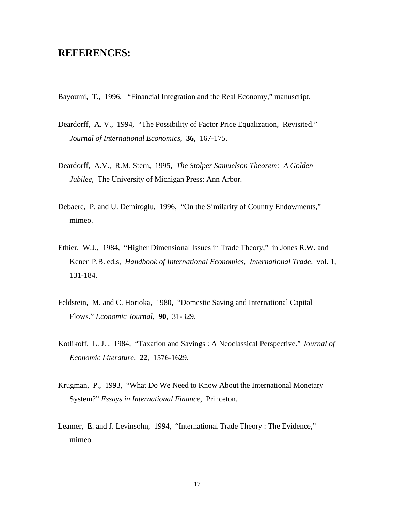# **REFERENCES:**

Bayoumi, T., 1996, "Financial Integration and the Real Economy," manuscript.

- Deardorff, A. V., 1994, "The Possibility of Factor Price Equalization, Revisited." *Journal of International Economics*, **36**, 167-175.
- Deardorff, A.V., R.M. Stern, 1995, *The Stolper Samuelson Theorem: A Golden Jubilee*, The University of Michigan Press: Ann Arbor.
- Debaere, P. and U. Demiroglu, 1996, "On the Similarity of Country Endowments," mimeo.
- Ethier, W.J., 1984, "Higher Dimensional Issues in Trade Theory," in Jones R.W. and Kenen P.B. ed.s, *Handbook of International Economics, International Trade,* vol. 1, 131-184.
- Feldstein, M. and C. Horioka, 1980, "Domestic Saving and International Capital Flows." *Economic Journal*, **90**, 31-329.
- Kotlikoff, L. J. , 1984, "Taxation and Savings : A Neoclassical Perspective." *Journal of Economic Literature*, **22**, 1576-1629.
- Krugman, P., 1993, "What Do We Need to Know About the International Monetary System?" *Essays in International Finance*, Princeton.
- Leamer, E. and J. Levinsohn, 1994, "International Trade Theory : The Evidence," mimeo.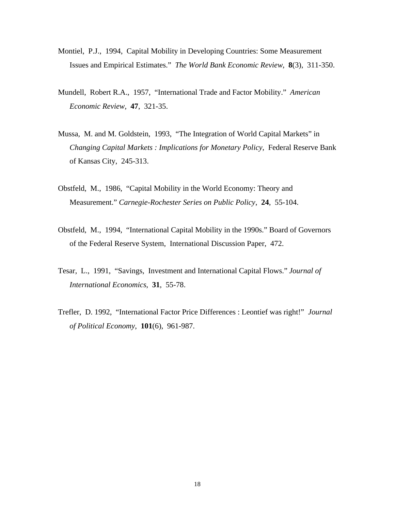- Montiel, P.J., 1994, Capital Mobility in Developing Countries: Some Measurement Issues and Empirical Estimates." *The World Bank Economic Review*, **8**(3), 311-350.
- Mundell, Robert R.A., 1957, "International Trade and Factor Mobility." *American Economic Review*, **47**, 321-35.
- Mussa, M. and M. Goldstein, 1993, "The Integration of World Capital Markets" in *Changing Capital Markets : Implications for Monetary Policy*, Federal Reserve Bank of Kansas City, 245-313.
- Obstfeld, M., 1986, "Capital Mobility in the World Economy: Theory and Measurement." *Carnegie-Rochester Series on Public Policy*, **24**, 55-104.
- Obstfeld, M., 1994, "International Capital Mobility in the 1990s." Board of Governors of the Federal Reserve System, International Discussion Paper, 472.
- Tesar, L., 1991, "Savings, Investment and International Capital Flows." *Journal of International Economics*, **31**, 55-78.
- Trefler, D. 1992, "International Factor Price Differences : Leontief was right!" *Journal of Political Economy*, **101**(6), 961-987.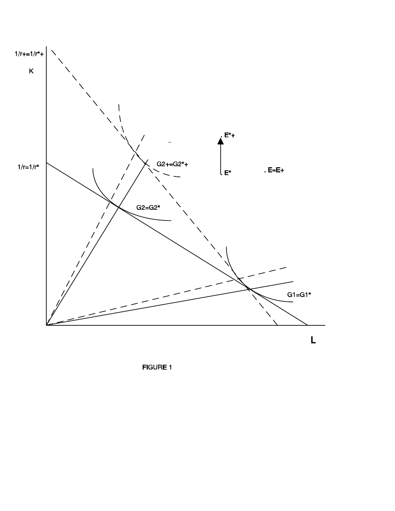

**FIGURE 1**